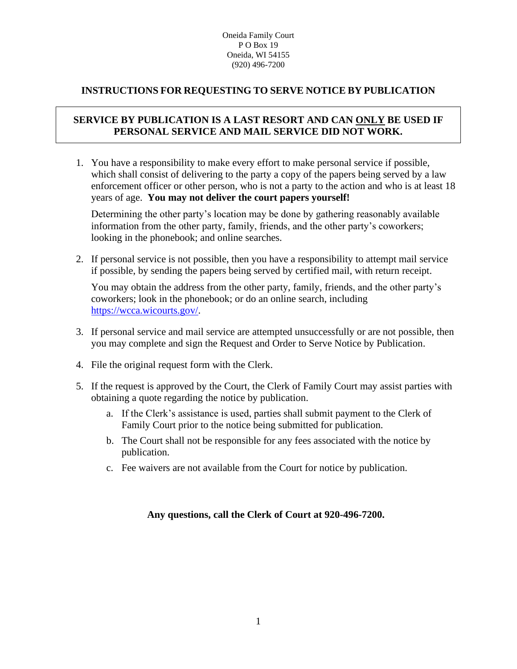#### Oneida Family Court PO Box 19 Oneida, WI 54155 (920) 496-7200

## **INSTRUCTIONS FOR REQUESTING TO SERVE NOTICE BY PUBLICATION**

# **SERVICE BY PUBLICATION IS A LAST RESORT AND CAN ONLY BE USED IF PERSONAL SERVICE AND MAIL SERVICE DID NOT WORK.**

1. You have a responsibility to make every effort to make personal service if possible, which shall consist of delivering to the party a copy of the papers being served by a law enforcement officer or other person, who is not a party to the action and who is at least 18 years of age. **You may not deliver the court papers yourself!**

Determining the other party's location may be done by gathering reasonably available information from the other party, family, friends, and the other party's coworkers; looking in the phonebook; and online searches.

2. If personal service is not possible, then you have a responsibility to attempt mail service if possible, by sending the papers being served by certified mail, with return receipt.

You may obtain the address from the other party, family, friends, and the other party's coworkers; look in the phonebook; or do an online search, including [https://wcca.wicourts.gov/.](https://wcca.wicourts.gov/)

- 3. If personal service and mail service are attempted unsuccessfully or are not possible, then you may complete and sign the Request and Order to Serve Notice by Publication.
- 4. File the original request form with the Clerk.
- 5. If the request is approved by the Court, the Clerk of Family Court may assist parties with obtaining a quote regarding the notice by publication.
	- a. If the Clerk's assistance is used, parties shall submit payment to the Clerk of Family Court prior to the notice being submitted for publication.
	- b. The Court shall not be responsible for any fees associated with the notice by publication.
	- c. Fee waivers are not available from the Court for notice by publication.

### **Any questions, call the Clerk of Court at 920-496-7200.**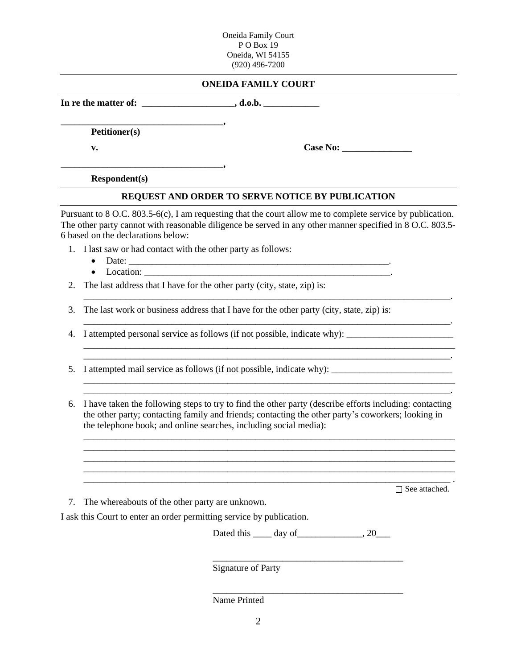Oneida Family Court PO Box 19 Oneida, WI 54155 (920) 496-7200

| <b>ONEIDA FAMILY COURT</b> |
|----------------------------|
|----------------------------|

**In re the matter of: \_\_\_\_\_\_\_\_\_\_\_\_\_\_\_\_\_\_\_\_, d.o.b. \_\_\_\_\_\_\_\_\_\_\_\_**

**Petitioner(s)**

**\_\_\_\_\_\_\_\_\_\_\_\_\_\_\_\_\_\_\_\_\_\_\_\_\_\_\_\_\_\_\_\_\_\_\_,** 

**\_\_\_\_\_\_\_\_\_\_\_\_\_\_\_\_\_\_\_\_\_\_\_\_\_\_\_\_\_\_\_\_\_\_\_,**

**v. Case No: \_\_\_\_\_\_\_\_\_\_\_\_\_\_\_**

**Respondent(s)**

#### **REQUEST AND ORDER TO SERVE NOTICE BY PUBLICATION**

Pursuant to 8 O.C. 803.5-6(c), I am requesting that the court allow me to complete service by publication. The other party cannot with reasonable diligence be served in any other manner specified in 8 O.C. 803.5-6 based on the declarations below:

\_\_\_\_\_\_\_\_\_\_\_\_\_\_\_\_\_\_\_\_\_\_\_\_\_\_\_\_\_\_\_\_\_\_\_\_\_\_\_\_\_\_\_\_\_\_\_\_\_\_\_\_\_\_\_\_\_\_\_\_\_\_\_\_\_\_\_\_\_\_\_\_\_\_\_\_\_\_\_.

\_\_\_\_\_\_\_\_\_\_\_\_\_\_\_\_\_\_\_\_\_\_\_\_\_\_\_\_\_\_\_\_\_\_\_\_\_\_\_\_\_\_\_\_\_\_\_\_\_\_\_\_\_\_\_\_\_\_\_\_\_\_\_\_\_\_\_\_\_\_\_\_\_\_\_\_\_\_\_.

- 1. I last saw or had contact with the other party as follows:
	- Date: \_\_\_\_\_\_\_\_\_\_\_\_\_\_\_\_\_\_\_\_\_\_\_\_\_\_\_\_\_\_\_\_\_\_\_\_\_\_\_\_\_\_\_\_\_\_\_\_\_\_\_\_\_\_\_\_.
	- Location: \_\_\_\_\_\_\_\_\_\_\_\_\_\_\_\_\_\_\_\_\_\_\_\_\_\_\_\_\_\_\_\_\_\_\_\_\_\_\_\_\_\_\_\_\_\_\_\_\_\_\_\_\_.
- 2. The last address that I have for the other party (city, state, zip) is:

3. The last work or business address that I have for the other party (city, state, zip) is:

\_\_\_\_\_\_\_\_\_\_\_\_\_\_\_\_\_\_\_\_\_\_\_\_\_\_\_\_\_\_\_\_\_\_\_\_\_\_\_\_\_\_\_\_\_\_\_\_\_\_\_\_\_\_\_\_\_\_\_\_\_\_\_\_\_\_\_\_\_\_\_\_\_\_\_\_\_\_\_\_

4. I attempted personal service as follows (if not possible, indicate why): \_\_\_\_\_\_\_\_\_\_\_\_\_\_\_\_\_\_\_\_\_\_\_

5. I attempted mail service as follows (if not possible, indicate why):

6. I have taken the following steps to try to find the other party (describe efforts including: contacting the other party; contacting family and friends; contacting the other party's coworkers; looking in the telephone book; and online searches, including social media):

\_\_\_\_\_\_\_\_\_\_\_\_\_\_\_\_\_\_\_\_\_\_\_\_\_\_\_\_\_\_\_\_\_\_\_\_\_\_\_\_\_\_\_\_\_\_\_\_\_\_\_\_\_\_\_\_\_\_\_\_\_\_\_\_\_\_\_\_\_\_\_\_\_\_\_\_\_\_\_.

\_\_\_\_\_\_\_\_\_\_\_\_\_\_\_\_\_\_\_\_\_\_\_\_\_\_\_\_\_\_\_\_\_\_\_\_\_\_\_\_\_\_\_\_\_\_\_\_\_\_\_\_\_\_\_\_\_\_\_\_\_\_\_\_\_\_\_\_\_\_\_\_\_\_\_\_\_\_\_\_

\_\_\_\_\_\_\_\_\_\_\_\_\_\_\_\_\_\_\_\_\_\_\_\_\_\_\_\_\_\_\_\_\_\_\_\_\_\_\_\_\_\_\_\_\_\_\_\_\_\_\_\_\_\_\_\_\_\_\_\_\_\_\_\_\_\_\_\_\_\_\_\_\_\_\_\_\_\_\_ .

□ See attached.

\_\_\_\_\_\_\_\_\_\_\_\_\_\_\_\_\_\_\_\_\_\_\_\_\_\_\_\_\_\_\_\_\_\_\_\_\_\_\_\_\_\_\_\_\_\_\_\_\_\_\_\_\_\_\_\_\_\_\_\_\_\_\_\_\_\_\_\_\_\_\_\_\_\_\_\_\_\_\_.

7. The whereabouts of the other party are unknown.

I ask this Court to enter an order permitting service by publication.

Dated this  $\_\_\_$  day of  $\_\_\_\_\_\_\_$ , 20 $\_\_\_\_\$ 

\_\_\_\_\_\_\_\_\_\_\_\_\_\_\_\_\_\_\_\_\_\_\_\_\_\_\_\_\_\_\_\_\_\_\_\_\_\_\_\_\_

\_\_\_\_\_\_\_\_\_\_\_\_\_\_\_\_\_\_\_\_\_\_\_\_\_\_\_\_\_\_\_\_\_\_\_\_\_\_\_\_\_

\_\_\_\_\_\_\_\_\_\_\_\_\_\_\_\_\_\_\_\_\_\_\_\_\_\_\_\_\_\_\_\_\_\_\_\_\_\_\_\_\_\_\_\_\_\_\_\_\_\_\_\_\_\_\_\_\_\_\_\_\_\_\_\_\_\_\_\_\_\_\_\_\_\_\_\_\_\_\_\_

Signature of Party

Name Printed